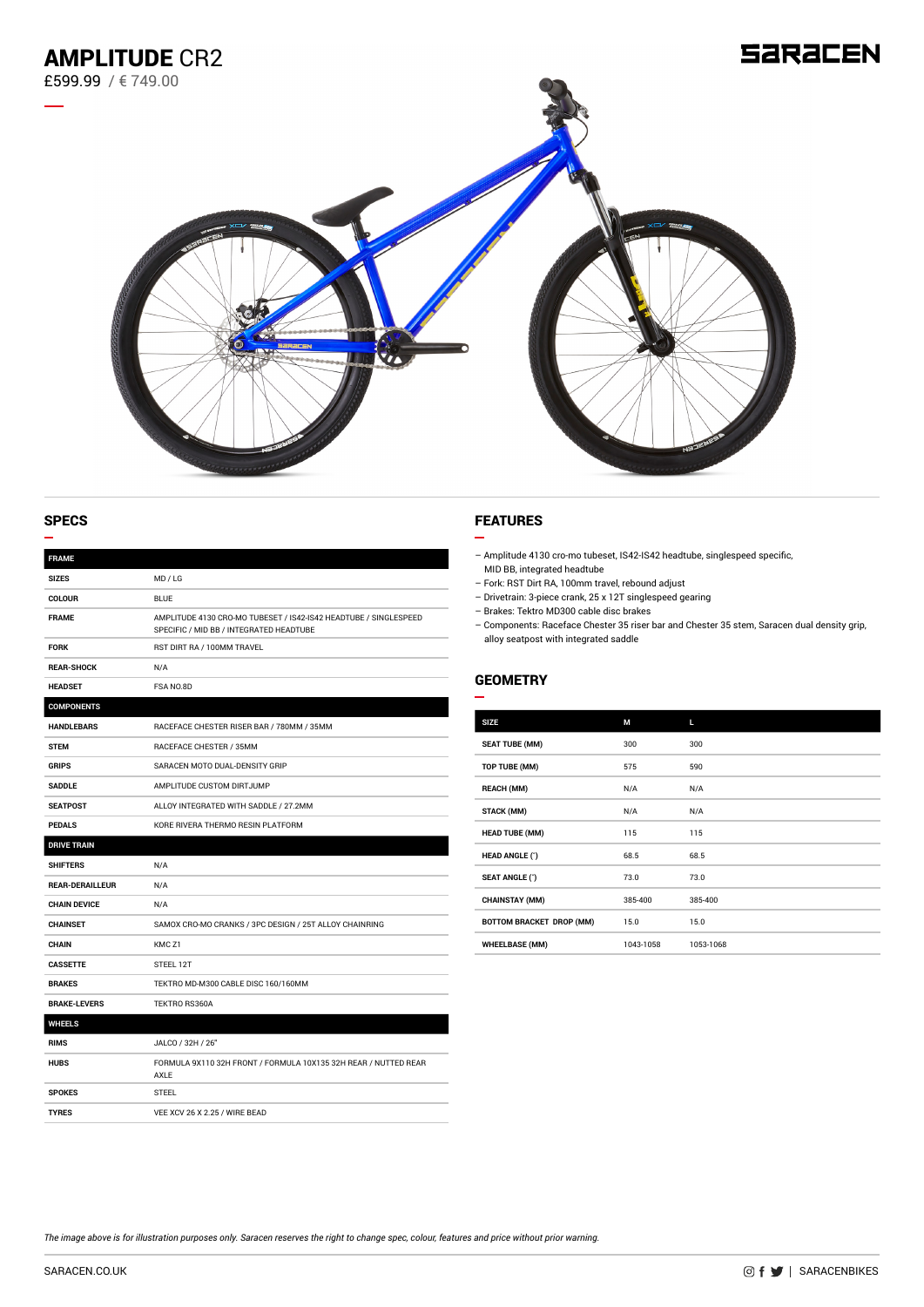

| <b>FRAME</b>           |                                                                                                             |
|------------------------|-------------------------------------------------------------------------------------------------------------|
| <b>SIZES</b>           | MD / LG                                                                                                     |
| <b>COLOUR</b>          | <b>BLUE</b>                                                                                                 |
| <b>FRAME</b>           | AMPLITUDE 4130 CRO-MO TUBESET / IS42-IS42 HEADTUBE / SINGLESPEED<br>SPECIFIC / MID BB / INTEGRATED HEADTUBE |
| <b>FORK</b>            | RST DIRT RA / 100MM TRAVEL                                                                                  |
| <b>REAR-SHOCK</b>      | N/A                                                                                                         |
| <b>HEADSET</b>         | FSA NO.8D                                                                                                   |
| <b>COMPONENTS</b>      |                                                                                                             |
| <b>HANDLEBARS</b>      | RACEFACE CHESTER RISER BAR / 780MM / 35MM                                                                   |
| <b>STEM</b>            | RACEFACE CHESTER / 35MM                                                                                     |
| <b>GRIPS</b>           | SARACEN MOTO DUAL-DENSITY GRIP                                                                              |
| <b>SADDLE</b>          | AMPLITUDE CUSTOM DIRTJUMP                                                                                   |
| <b>SEATPOST</b>        | ALLOY INTEGRATED WITH SADDLE / 27.2MM                                                                       |
| <b>PEDALS</b>          | KORE RIVERA THERMO RESIN PLATFORM                                                                           |
| <b>DRIVE TRAIN</b>     |                                                                                                             |
| <b>SHIFTERS</b>        | N/A                                                                                                         |
| <b>REAR-DERAILLEUR</b> | N/A                                                                                                         |
| <b>CHAIN DEVICE</b>    | N/A                                                                                                         |
| <b>CHAINSET</b>        | SAMOX CRO-MO CRANKS / 3PC DESIGN / 25T ALLOY CHAINRING                                                      |
| <b>CHAIN</b>           | KMC <sub>Z1</sub>                                                                                           |
| <b>CASSETTE</b>        | STEEL 12T                                                                                                   |
| <b>BRAKES</b>          | TEKTRO MD-M300 CABLE DISC 160/160MM                                                                         |
| <b>BRAKE-LEVERS</b>    | TEKTRO RS360A                                                                                               |
| <b>WHEELS</b>          |                                                                                                             |
| <b>RIMS</b>            | JALCO / 32H / 26"                                                                                           |
| <b>HUBS</b>            | FORMULA 9X110 32H FRONT / FORMULA 10X135 32H REAR / NUTTED REAR<br>AXLE                                     |
| <b>SPOKES</b>          | <b>STEEL</b>                                                                                                |
| <b>TYRES</b>           | VEE XCV 26 X 2.25 / WIRE BEAD                                                                               |

## SPECS FEATURES

÷

- Amplitude 4130 cro-mo tubeset, IS42-IS42 headtube, singlespeed specific, MID BB, integrated headtube
- Fork: RST Dirt RA, 100mm travel, rebound adjust
- Drivetrain: 3-piece crank, 25 x 12T singlespeed gearing
- Brakes: Tektro MD300 cable disc brakes
- Components: Raceface Chester 35 riser bar and Chester 35 stem, Saracen dual density grip, alloy seatpost with integrated saddle

## **GEOMETRY**

| <b>SIZE</b>              | М         | Ш         |
|--------------------------|-----------|-----------|
| <b>SEAT TUBE (MM)</b>    | 300       | 300       |
| TOP TUBE (MM)            | 575       | 590       |
| <b>REACH (MM)</b>        | N/A       | N/A       |
| <b>STACK (MM)</b>        | N/A       | N/A       |
| <b>HEAD TUBE (MM)</b>    | 115       | 115       |
| <b>HEAD ANGLE (*)</b>    | 68.5      | 68.5      |
| <b>SEAT ANGLE (°)</b>    | 73.0      | 73.0      |
| <b>CHAINSTAY (MM)</b>    | 385-400   | 385-400   |
| BOTTOM BRACKET DROP (MM) | 15.0      | 15.0      |
| <b>WHEELBASE (MM)</b>    | 1043-1058 | 1053-1068 |
|                          |           |           |

*The image above is for illustration purposes only. Saracen reserves the right to change spec, colour, features and price without prior warning.*